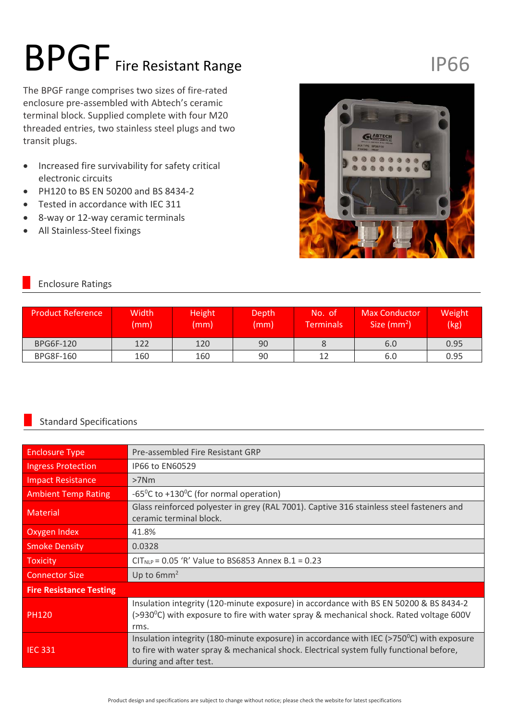# BPGF Fire Resistant Range

The BPGF range comprises two sizes of fire-rated enclosure pre-assembled with Abtech's ceramic terminal block. Supplied complete with four M20 threaded entries, two stainless steel plugs and two transit plugs.

- Increased fire survivability for safety critical electronic circuits
- PH120 to BS EN 50200 and BS 8434-2
- Tested in accordance with IEC 311
- 8-way or 12-way ceramic terminals
- All Stainless-Steel fixings

## IP66



#### Enclosure Ratings

| <b>Product Reference</b> | Width<br>(mm) | Height<br>(mm) | Depth<br>(mm) | No. of<br><b>Terminals</b> | <b>Max Conductor</b><br>Size $(mm2)$ | Weight<br>(kg) |  |
|--------------------------|---------------|----------------|---------------|----------------------------|--------------------------------------|----------------|--|
| BPG6F-120                | 122           | 120            | 90            |                            | 6.0                                  | 0.95           |  |
| <b>BPG8F-160</b>         | 160           | 160            | 90            |                            | 6.0                                  | 0.95           |  |

### Standard Specifications

| <b>Enclosure Type</b>          | Pre-assembled Fire Resistant GRP                                                                                                                                                                                         |  |  |  |
|--------------------------------|--------------------------------------------------------------------------------------------------------------------------------------------------------------------------------------------------------------------------|--|--|--|
| <b>Ingress Protection</b>      | IP66 to EN60529                                                                                                                                                                                                          |  |  |  |
| <b>Impact Resistance</b>       | $>7$ Nm                                                                                                                                                                                                                  |  |  |  |
| <b>Ambient Temp Rating</b>     | -65 <sup>o</sup> C to +130 <sup>o</sup> C (for normal operation)                                                                                                                                                         |  |  |  |
| <b>Material</b>                | Glass reinforced polyester in grey (RAL 7001). Captive 316 stainless steel fasteners and<br>ceramic terminal block.                                                                                                      |  |  |  |
| Oxygen Index                   | 41.8%                                                                                                                                                                                                                    |  |  |  |
| <b>Smoke Density</b>           | 0.0328                                                                                                                                                                                                                   |  |  |  |
| Toxicity                       | $CIT_{NLP} = 0.05$ 'R' Value to BS6853 Annex B.1 = 0.23                                                                                                                                                                  |  |  |  |
| <b>Connector Size</b>          | Up to $6mm^2$                                                                                                                                                                                                            |  |  |  |
| <b>Fire Resistance Testing</b> |                                                                                                                                                                                                                          |  |  |  |
| <b>PH120</b>                   | Insulation integrity (120-minute exposure) in accordance with BS EN 50200 & BS 8434-2<br>(>930 $^{\circ}$ C) with exposure to fire with water spray & mechanical shock. Rated voltage 600V<br>rms.                       |  |  |  |
| <b>IEC 331</b>                 | Insulation integrity (180-minute exposure) in accordance with IEC ( $>750^{\circ}$ C) with exposure<br>to fire with water spray & mechanical shock. Electrical system fully functional before,<br>during and after test. |  |  |  |